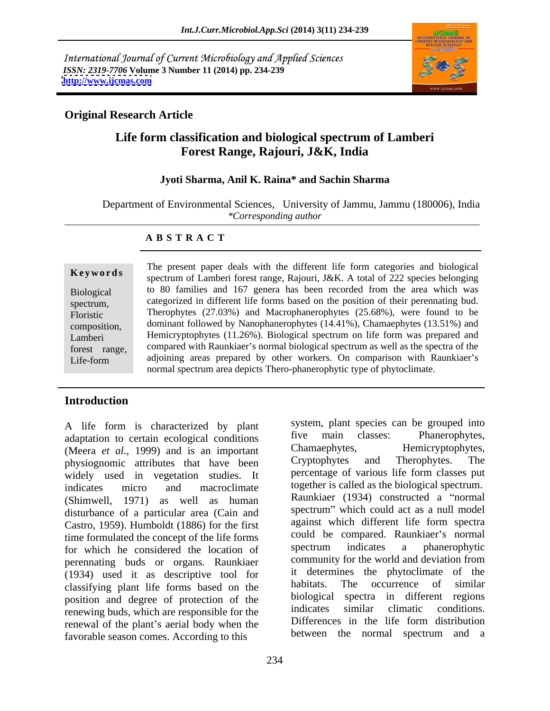International Journal of Current Microbiology and Applied Sciences *ISSN: 2319-7706* **Volume 3 Number 11 (2014) pp. 234-239 <http://www.ijcmas.com>**



### **Original Research Article**

# **Life form classification and biological spectrum of Lamberi Forest Range, Rajouri, J&K, India**

# **Jyoti Sharma, Anil K. Raina\* and Sachin Sharma**

Department of Environmental Sciences, University of Jammu, Jammu (180006), India *\*Corresponding author* 

### **A B S T R A C T**

**Keywords** Spectrum of Lamberi forest range, Rajouri, J&K. A total of 222 species belonging Biological to 80 families and 167 genera has been recorded from the area which was spectrum, categorized in different life forms based on the position of their perennating bud. Floristic Therophytes (27.03%) and Macrophanerophytes (25.68%), were found to be composition, dominant followed by Nanophanerophytes (14.41%), Chamaephytes (13.51%) and Lamberi Hemicryptophytes (11.26%). Biological spectrum on life form was prepared and forest range, compared with Raunkiaer's normal biological spectrum as well as the spectra of the Life-form adjoining areas prepared by other workers. On comparison with Raunkiaer's The present paper deals with the different life form categories and biological normal spectrum area depicts Thero-phanerophytic type of phytoclimate.

## **Introduction**

A life form is characterized by plant system, plant species can be grouped into<br>adaptation to certain ecological conditions five main classes: Phanerophytes, adaptation to certain ecological conditions tive main classes: Phanerophytes,<br>
(Meera et al. 1999) and is an important Chamaephytes, Hemicryptophytes, (Meera *et al.*, 1999) and is an important<br>
Chamaephytes, the Hemicryptophytes,<br>
Cryptophytes and Therophytes. The physiognomic attributes that have been widely used in vegetation studies. It indicates micro and macroclimate together is called as the biological spectrum. (Shimwell, 1971) as well as human disturbance of a particular area (Cain and Castro, 1959). Humboldt (1886) for the first time formulated the concept of the life forms could be compared. Raunkiaer's normal<br>for which he considered the location of spectrum indicates a phanerophytic for which he considered the location of perennating buds or organs. Raunkiaer (1934) used it as descriptive tool for the determines the phytoclimate of the classifying plant life forms based on the habitats. The occurrence of similar classifying plant life forms based on the position and degree of protection of the biological spectra in different regions renewing buds which are responsible for the indicates similar climatic conditions. renewing buds, which are responsible for the renewal of the plant's aerial body when the favorable season comes. According to this

system, plant species can be grouped into five main classes: Phanerophytes, Chamaephytes, Hemicryptophytes, Cryptophytes and Therophytes. The percentage of various life form classes put Raunkiaer (1934) constructed a "normal spectrum" which could act as a null model against which different life form spectra could be compared. Raunkiaer's normal spectrum indicates a phanerophytic community for the world and deviation from it determines the phytoclimate of the habitats. The occurrence of similar biological spectra in different regions indicates similar climatic conditions. Differences in the life form distribution between the normal spectrum and a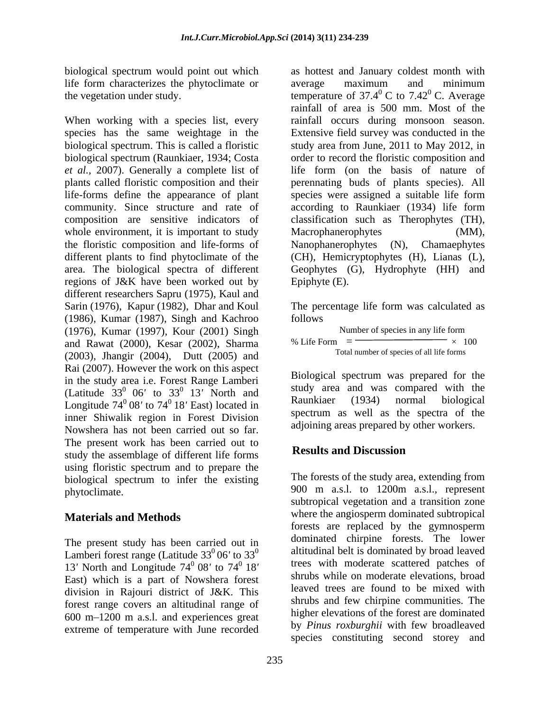life form characterizes the phytoclimate or

When working with a species list, every *et al.,* 2007).Generally a complete list of whole environment, it is important to study Macrophanerophytes (MM), regions of J&K have been worked out by different researchers Sapru (1975), Kaul and Sarin (1976), Kapur (1982), Dhar and Koul The percentage life form was calculated as (1986), Kumar (1987), Singh and Kachroo (1976), Kumar (1997), Kour (2001) Singh and Rawat (2000), Kesar (2002), Sharma (2003), Jhangir (2004), Dutt (2005) and Rai (2007). However the work on this aspect in the study area i.e. Forest Range Lamberi (Latitude  $33^0$  06' to  $33^0$  13' North and study area and was compared with the Longitude  $74^{\circ}$  08' to  $74^{\circ}$  18' East) located in **Raunkiaer** (1934) normal biological inner Shiwalik region in Forest Division Nowshera has not been carried out so far. The present work has been carried out to<br>the the concentration of different life forms **Results and Discussion** study the assemblage of different life forms using floristic spectrum and to prepare the biological spectrum to infer the existing phytoclimate. 900 m a.s.l. to 1200m a.s.l., represent

The present study has been carried out in Lamberi forest range (Latitude  $33^{0}$  06' to  $33^{0}$ 13<sup>'</sup> North and Longitude 74<sup>0</sup> 08' to 74<sup>0</sup> 18' East) which is a part of Nowshera forest division in Rajouri district of J&K. This forest range covers an altitudinal range of 600 m 1200 m a.s.l. and experiences great extreme of temperature with June recorded

biological spectrum would point out which as hottest and January coldest month with the vegetation under study.  $\qquad \qquad \text{temperature of } 37.4^{\circ} \text{ C to } 7.42^{\circ} \text{ C. Average}$ species has the same weightage in the Extensive field survey was conducted in the biological spectrum. This is called a floristic study area from June, 2011 to May 2012, in biological spectrum (Raunkiaer, 1934; Costa order to record the floristic composition and plants called floristic composition and their perennating buds of plants species). All life-forms define the appearance of plant species were assigned a suitable life form community. Since structure and rate of according to Raunkiaer (1934) life form composition are sensitive indicators of classification such as Therophytes (TH), the floristic composition and life-forms of Nanophanerophytes (N), Chamaephytes different plants to find phytoclimate of the (CH), Hemicryptophytes (H), Lianas (L), area. The biological spectra of different Geophytes (G), Hydrophyte (HH) and average maximum and minimum  $\rm ^{0}$  C to 7.42 $\rm ^{0}$  C. Average  $^{0}$  C. Average rainfall of area is 500 mm. Most of the rainfall occurs during monsoon season. life form (on the basis of nature of Macrophanerophytes (MM), Epiphyte (E).

follows **the contract of the contract of the contract of the contract of the contract of the contract of the contract of the contract of the contract of the contract of the contract of the contract of the contract of the c** 

| nber of species in any life form  |  |  |
|-----------------------------------|--|--|
| % Life Form<br>100                |  |  |
| mber of species of all life forms |  |  |

 $\frac{0}{13}$  North and  $\frac{13}{13}$  North and  $\frac{13}{13}$  North and  $\frac{13}{13}$  are  $\frac{13}{13}$  and  $\frac{13}{13}$  are  $\frac{13}{13}$  are  $\frac{13}{13}$  are  $\frac{13}{13}$  are  $\frac{13}{13}$  are  $\frac{13}{13}$  are  $\frac{13}{13}$  are  $\frac{13}{13}$  <sup>0</sup> 18' East) located in **Raunkiaer** (1934) normal biological Biological spectrum was prepared for the study area and was compared with the Raunkiaer (1934) normal biological spectrum as well as the spectra of the adjoining areas prepared by other workers.

# **Results and Discussion**

**Materials and Methods** where the angiosperm dominated subtropical  $^{0}$  06' to 33<sup>0</sup> altitudinal belt is dominated by broad leaved  $^{0}$  08' to 74 $^{0}$  18' trees with moderate scattered patches of The forests of the study area, extending from subtropical vegetation and a transition zone forests are replaced by the gymnosperm dominated chirpine forests. The lower shrubs while on moderate elevations, broad leaved trees are found to be mixed with shrubs and few chirpine communities. The higher elevations of the forest are dominated by *Pinus roxburghii* with few broadleaved species constituting second storey and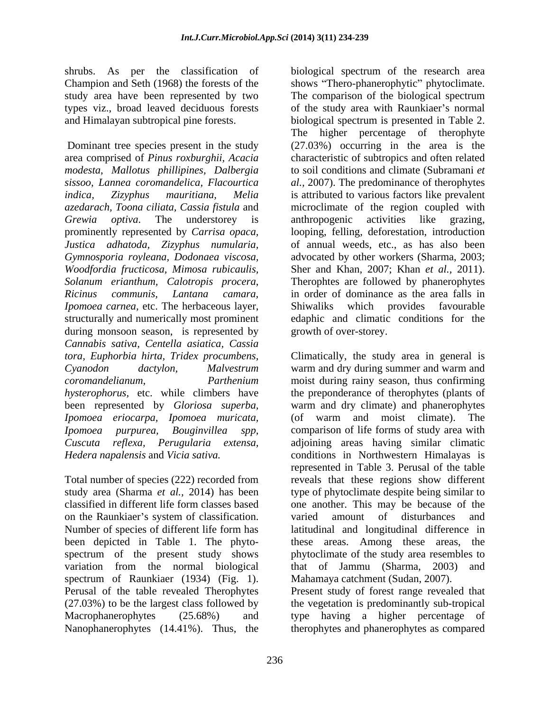Champion and Seth (1968) the forests of the shows "Thero-phanerophytic" phytoclimate. study area have been represented by two The comparison of the biological spectrum

*modesta*, *Mallotus phillipines, Dalbergia*  during monsoon season, is represented by *Cannabis sativa, Centella asiatica, Cassia* been represented by *Gloriosa superba, Ipomoea eriocarpa, Ipomoea muricata,*

Total number of species (222) recorded from on the Raunkiaer's system of classification. varied amount of disturbances and been depicted in Table 1. The phyto-<br>these areas. Among these areas, the variation from the normal biological that of Jammu (Sharma, 2003) and spectrum of Raunkiaer (1934) (Fig. 1). Mahamaya catchment (Sudan, 2007).<br>Perusal of the table revealed Therophytes Present study of forest range revealed that Nanophanerophytes (14.41%). Thus, the therophytes and phanerophytes as compared

shrubs. As per the classification of biological spectrum of the research area types viz., broad leaved deciduous forests of the study area with Raunkiaer's normal and Himalayan subtropical pine forests. biological spectrum is presented in Table 2. Dominant tree species present in the study (27.03%) occurring in the area is the area comprised of *Pinus roxburghii, Acacia*  characteristic of subtropics and often related *sissoo, Lannea coromandelica, Flacourtica al.,* 2007). The predominance of therophytes *indica, Zizyphus mauritiana, Melia* is attributed to various factors like prevalent *azedarach, Toona ciliata, Cassia fistula* and microclimate of the region coupled with *Grewia optiva*. The understorey is prominently represented by *Carrisa opaca,* looping, felling, deforestation, introduction *Justica adhatoda, Zizyphus numularia,* of annual weeds, etc., as has also been *Gymnosporia royleana, Dodonaea viscosa,* advocated by other workers (Sharma, 2003; *Woodfordia fructicosa, Mimosa rubicaulis,* Sher and Khan, 2007; Khan *et al.,* 2011). *Solanum erianthum, Calotropis procera*, Therophtes are followed by phanerophytes *Ricinus communis, Lantana camara,* in order of dominance as the area falls in *Ipomoea carnea*, etc. The herbaceous layer, Shiwaliks which provides favourable structurally and numerically most prominent edaphic and climatic conditions for the shows "Thero-phanerophytic" phytoclimate.<br>The comparison of the biological spectrum The higher percentage of therophyte to soil conditions and climate (Subramani *et*  anthropogenic activities like grazing, Shiwaliks which provides favourable edaphic and climatic conditions for the growth of over-storey.

*tora, Euphorbia hirta, Tridex procumbens,* Climatically, the study area in general is *Cyanodon dactylon, Malvestrum* warm and dry during summer and warm and *coromandelianum, Parthenium*  moist during rainy season, thus confirming hysterophorus, etc. while climbers have the preponderance of therophytes (plants of *Ipomoea purpurea, Bouginvillea spp,* comparison of life forms of study area with *Cuscuta reflexa, Perugularia extensa,* adjoining areas having similar climatic *Hedera napalensis* and *Vicia sativa.* conditions in Northwestern Himalayas is study area (Sharma *et al.,* 2014) has been type of phytoclimate despite being similar to classified in different life form classes based one another. This may be because of the Number of species of different life form has latitudinal and longitudinal difference in spectrum of the present study shows phytoclimate of the study area resembles to warm and dry climate) and phanerophytes (of warm and moist climate). The represented in Table 3. Perusal of the table reveals that these regions show different varied amount of disturbances and these areas. Among these areas, that of Jammu (Sharma,  $2003$ ) Mahamaya catchment (Sudan, 2007).

(27.03%) to be the largest class followed by the vegetation is predominantly sub-tropical Macrophanerophytes (25.68%) and type having a higher percentage of Present study of forest range revealed that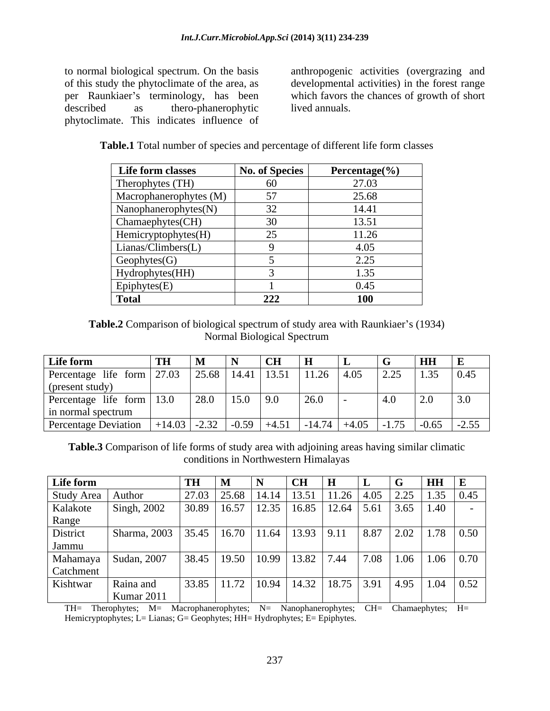described as the ro-phanerophytic lived annuals. phytoclimate. This indicates influence of

to normal biological spectrum. On the basis anthropogenic activities (overgrazing and of this study the phytoclimate of the area, as developmental activities) in the forest range per Raunkiaer's terminology, has been which favors the chances of growth of short

| <b>as</b> | thero-phanerophytic                | lived annuals.                                                                       |
|-----------|------------------------------------|--------------------------------------------------------------------------------------|
|           | imate. This indicates influence of |                                                                                      |
|           |                                    |                                                                                      |
|           |                                    | <b>Table.1</b> Total number of species and percentage of different life form classes |

| Life form classes         | <b>No. of Species</b> | Percentage $(\% )$ |
|---------------------------|-----------------------|--------------------|
| Therophytes (TH)          | 60                    | 27.03              |
| Macrophanerophytes (M)    | 57                    | 25.68              |
| Nanophanerophytes(N)      | 32                    | 14.41              |
| Chamaephytes(CH)          | 30                    | 13.51              |
| Hemicryptophytes(H)       | 25                    | 11.26              |
| $\mid$ Lianas/Climbers(L) |                       | 4.05               |
| Geophytes(G)              |                       | 2.25               |
| Hydrophytes(HH)           |                       | .35                |
| Epiphytes(E)              |                       | 0.45               |
| <b>Total</b>              | 222                   | <b>100</b>         |

**Table.2** Comparison of biological spectrum of study area with Raunkiaer's (1934)<br>Normal Biological Spectrum Normal Biological Spectrum

| Life form                                                                                                       |  |  |  | $HH$ E |  |
|-----------------------------------------------------------------------------------------------------------------|--|--|--|--------|--|
| <b>Life form</b> TH M N CH H L G HH E<br>Percentage life form 27.03 25.68 14.41 13.51 11.26 4.05 2.25 1.35 0.45 |  |  |  |        |  |
| (present study)                                                                                                 |  |  |  |        |  |
| Percentage life form 13.0                                                                                       |  |  |  |        |  |
| in normal spectrum                                                                                              |  |  |  |        |  |
| Percentage Deviation   +14.03   -2.32   -0.59   +4.51   -14.74   +4.05   -1.75   -0.65   -2.55                  |  |  |  |        |  |

**Table.3** Comparison of life forms of study area with adjoining areas having similar climatic conditions in Northwestern Himalayas

| Life form           |                                                                                 |       |                       |                                                                                                                                  |  | ' HH |                     |
|---------------------|---------------------------------------------------------------------------------|-------|-----------------------|----------------------------------------------------------------------------------------------------------------------------------|--|------|---------------------|
| Study Area   Author |                                                                                 | 27.03 | 25.68   14.14   13.51 | $11.26$ 4.05 2.25                                                                                                                |  |      | $1.35 \,   \, 0.45$ |
| Kalakote            | Singh, 2002                                                                     | 30.89 |                       | $\vert$ 16.57 $\vert$ 12.35 $\vert$ 16.85 $\vert$ 12.64 $\vert$ 5.61 $\vert$ 3.65 $\vert$ 1.40 $\vert$                           |  |      |                     |
| Range               |                                                                                 |       |                       |                                                                                                                                  |  |      |                     |
| District            | Sharma, 2003   35.45   16.70   11.64   13.93   9.11   8.87   2.02   1.78   0.50 |       |                       |                                                                                                                                  |  |      |                     |
| Jammu               |                                                                                 |       |                       |                                                                                                                                  |  |      |                     |
| Mahamaya            | Sudan, 2007                                                                     |       |                       | $\vert$ 38.45 $\vert$ 19.50 $\vert$ 10.99 $\vert$ 13.82 $\vert$ 7.44 $\vert$ 7.08 $\vert$ 1.06 $\vert$ 1.06 $\vert$ 0.70 $\vert$ |  |      |                     |
| Catchment           |                                                                                 |       |                       |                                                                                                                                  |  |      |                     |
| Kishtwar            | Raina and                                                                       | 33.85 |                       | $11.72$ $10.94$ $14.32$ $18.75$ $3.91$ $4.95$ $1.04$ $0.52$                                                                      |  |      |                     |
|                     | <b>Kumar</b> 2011                                                               |       |                       |                                                                                                                                  |  |      |                     |

TH= Therophytes; M= Macrophanerophytes; N= Nanophanerophytes; CH= Chamaephytes; H= Hemicryptophytes; L= Lianas; G= Geophytes; HH= Hydrophytes; E= Epiphytes.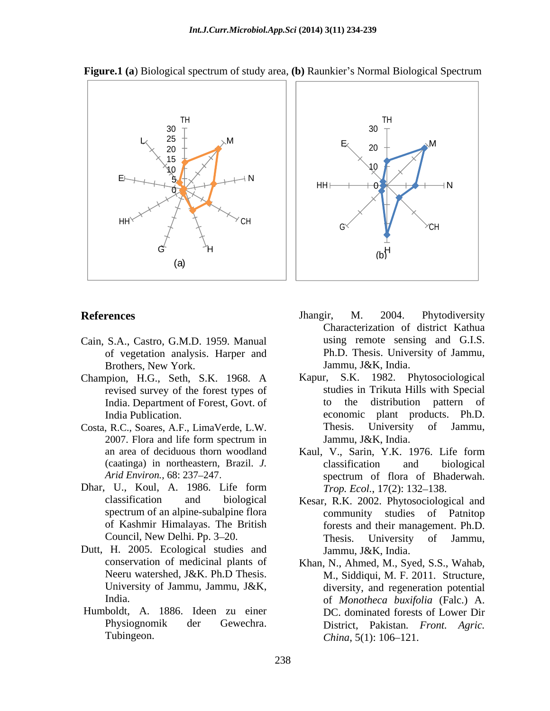

**Figure.1** (a) Biological spectrum of study area, (b) Raunkier's Normal Biological Spectrum

- Cain, S.A., Castro, G.M.D. 1959. Manual of vegetation analysis. Harper and Brothers, New York.
- Champion, H.G., Seth, S.K. 1968. A
- 
- spectrum of an alpine-subalpine flora
- Dutt, H. 2005. Ecological studies and
- Humboldt, A. 1886. Ideen zu einer Tubingeon. China, 5(1): 106–121.
- **References** M. 2004. Phytodiversity Jhangir, M. 2004. Phytodiversity Characterization of district Kathua using remote sensing and G.I.S. Ph.D. Thesis. University of Jammu, Jammu, J&K, India.
- revised survey of the forest types of studies in Trikuta Hills with Special India. Department of Forest, Govt. of to the distribution pattern of India Publication. The economic plant products. Ph.D. Costa, R.C., Soares, A.F., LimaVerde, L.W. 2007. Flora and life form spectrum in Jammu, J&K, India. S.K. 1982. Phytosociological to the distribution pattern of Thesis. University of Jammu, Jammu, J&K, India.
- an area of deciduous thorn woodland Kaul, V., Sarin, Y.K. 1976. Life form (caatinga) in northeastern, Brazil. *J. Arid Environ., 68: 237–247.* **Spectrum** of flora of Bhaderwah. Dhar, U., Koul, A. 1986. Life form *Trop. Ecol.*, 17(2): 132–138. Kaul, V., Sarin, Y.K. 1976. Life form classification and biological spectrum of flora of Bhaderwah. *Trop. Ecol.*, 17(2): 132–138.
	- classification and biological Kesar, R.K. 2002. Phytosociological and of Kashmir Himalayas. The British forests and their management. Ph.D. Council, New Delhi. Pp. 3–20. Thesis. University of Jammu, community studies of Patnitop Thesis. University of Jammu, Jammu, J&K, India.
	- conservation of medicinal plants of Khan, N., Ahmed, M., Syed, S.S., Wahab, Neeru watershed, J&K. Ph.D Thesis. M., Siddiqui, M. F. 2011. Structure, University of Jammu, Jammu, J&K, diversity, and regeneration potential India. of *Monotheca buxifolia* (Falc.) A. Physiognomik der Gewechra. District, Pakistan*. Front. Agric.* DC. dominated forests of Lower Dir *China*, 5(1): 106–121.